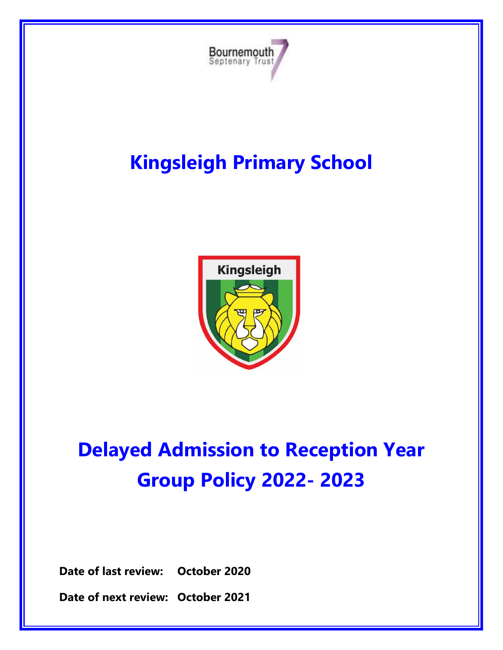

# **Kingsleigh Primary School**



# **Delayed Admission to Reception Year Group Policy 2022- 2023**

**Date of last review: October 2020**

**Date of next review: October 2021**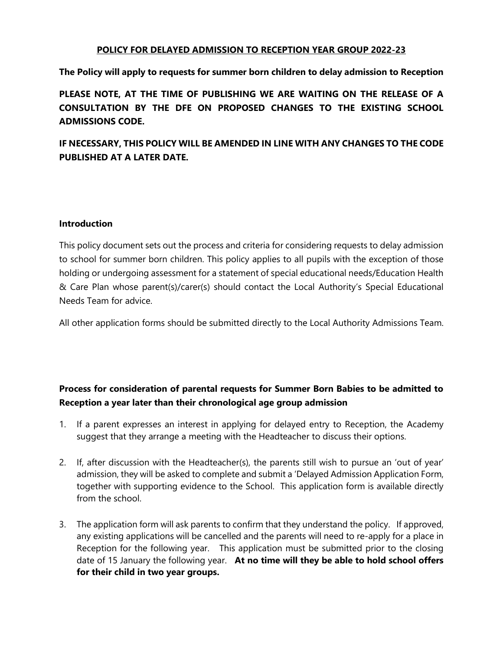#### **POLICY FOR DELAYED ADMISSION TO RECEPTION YEAR GROUP 2022-23**

**The Policy will apply to requests for summer born children to delay admission to Reception**

**PLEASE NOTE, AT THE TIME OF PUBLISHING WE ARE WAITING ON THE RELEASE OF A CONSULTATION BY THE DFE ON PROPOSED CHANGES TO THE EXISTING SCHOOL ADMISSIONS CODE.**

**IF NECESSARY, THIS POLICY WILL BE AMENDED IN LINE WITH ANY CHANGES TO THE CODE PUBLISHED AT A LATER DATE.**

#### **Introduction**

This policy document sets out the process and criteria for considering requests to delay admission to school for summer born children. This policy applies to all pupils with the exception of those holding or undergoing assessment for a statement of special educational needs/Education Health & Care Plan whose parent(s)/carer(s) should contact the Local Authority's Special Educational Needs Team for advice.

All other application forms should be submitted directly to the Local Authority Admissions Team.

# **Process for consideration of parental requests for Summer Born Babies to be admitted to Reception a year later than their chronological age group admission**

- 1. If a parent expresses an interest in applying for delayed entry to Reception, the Academy suggest that they arrange a meeting with the Headteacher to discuss their options.
- 2. If, after discussion with the Headteacher(s), the parents still wish to pursue an 'out of year' admission, they will be asked to complete and submit a 'Delayed Admission Application Form, together with supporting evidence to the School. This application form is available directly from the school.
- 3. The application form will ask parents to confirm that they understand the policy. If approved, any existing applications will be cancelled and the parents will need to re-apply for a place in Reception for the following year. This application must be submitted prior to the closing date of 15 January the following year. **At no time will they be able to hold school offers for their child in two year groups.**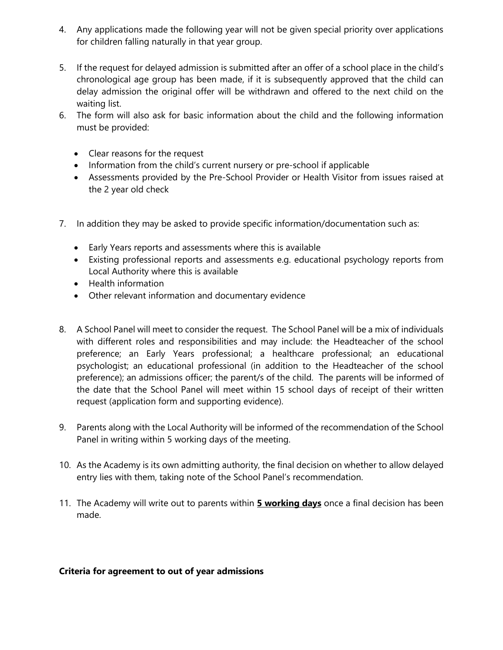- 4. Any applications made the following year will not be given special priority over applications for children falling naturally in that year group.
- 5. If the request for delayed admission is submitted after an offer of a school place in the child's chronological age group has been made, if it is subsequently approved that the child can delay admission the original offer will be withdrawn and offered to the next child on the waiting list.
- 6. The form will also ask for basic information about the child and the following information must be provided:
	- Clear reasons for the request
	- Information from the child's current nursery or pre-school if applicable
	- Assessments provided by the Pre-School Provider or Health Visitor from issues raised at the 2 year old check
- 7. In addition they may be asked to provide specific information/documentation such as:
	- Early Years reports and assessments where this is available
	- Existing professional reports and assessments e.g. educational psychology reports from Local Authority where this is available
	- Health information
	- Other relevant information and documentary evidence
- 8. A School Panel will meet to consider the request. The School Panel will be a mix of individuals with different roles and responsibilities and may include: the Headteacher of the school preference; an Early Years professional; a healthcare professional; an educational psychologist; an educational professional (in addition to the Headteacher of the school preference); an admissions officer; the parent/s of the child. The parents will be informed of the date that the School Panel will meet within 15 school days of receipt of their written request (application form and supporting evidence).
- 9. Parents along with the Local Authority will be informed of the recommendation of the School Panel in writing within 5 working days of the meeting.
- 10. As the Academy is its own admitting authority, the final decision on whether to allow delayed entry lies with them, taking note of the School Panel's recommendation.
- 11. The Academy will write out to parents within **5 working days** once a final decision has been made.

### **Criteria for agreement to out of year admissions**